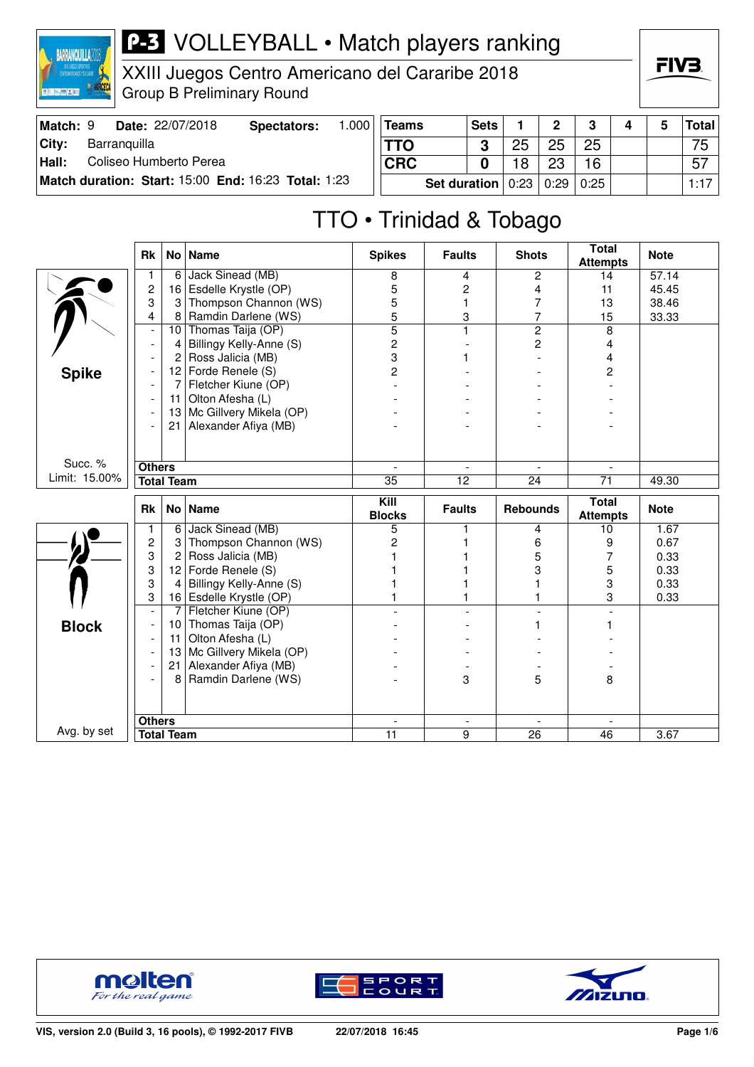

XXIII Juegos Centro Americano del Cararibe 2018 Group B Preliminary Round

| Match: 9      |              | <b>Date: 22/07/2018</b> | Spectators:                                         | .000 | <b>Teams</b> |                                                | <b>Sets</b> | $\Omega$ | 0  |  | Total |
|---------------|--------------|-------------------------|-----------------------------------------------------|------|--------------|------------------------------------------------|-------------|----------|----|--|-------|
| City:         | Barranguilla |                         |                                                     |      | <b>TTO</b>   |                                                |             | 25       | 25 |  | 75    |
| $\vert$ Hall: |              | Coliseo Humberto Perea  |                                                     |      | <b>CRC</b>   |                                                |             | 23       | 16 |  | 57    |
|               |              |                         | Match duration: Start: 15:00 End: 16:23 Total: 1:23 |      |              | <b>Set duration</b>   $0:23$   $0:29$   $0:25$ |             |          |    |  | 1:17  |

## TTO • Trinidad & Tobago

|               | <b>Rk</b>                |                   | No   Name               | <b>Spikes</b>                  | <b>Faults</b>                 | <b>Shots</b>         | <b>Total</b><br><b>Attempts</b> | <b>Note</b> |
|---------------|--------------------------|-------------------|-------------------------|--------------------------------|-------------------------------|----------------------|---------------------------------|-------------|
|               |                          | 6                 | Jack Sinead (MB)        | 8                              | 4                             | $\overline{2}$       | 14                              | 57.14       |
|               | $\overline{c}$           | 16                | Esdelle Krystle (OP)    | 5                              | 2                             | 4                    | 11                              | 45.45       |
|               | 3                        | 3                 | Thompson Channon (WS)   | 5                              | 1                             | 7                    | 13                              | 38.46       |
|               | $\overline{4}$           | 8                 | Ramdin Darlene (WS)     | 5                              | 3                             | $\overline{7}$       | 15                              | 33.33       |
|               | $\overline{\phantom{a}}$ | 10                | Thomas Taija (OP)       | $\overline{5}$                 | 1                             | $\overline{2}$       | 8                               |             |
|               |                          | 4                 | Billingy Kelly-Anne (S) | $\overline{c}$                 |                               | $\overline{c}$       | $\overline{4}$                  |             |
|               |                          | 2                 | Ross Jalicia (MB)       | 3                              |                               |                      | 4                               |             |
| <b>Spike</b>  |                          | 12 <sub>2</sub>   | Forde Renele (S)        | $\overline{2}$                 |                               |                      | 2                               |             |
|               |                          | 7                 | Fletcher Kiune (OP)     |                                |                               |                      |                                 |             |
|               |                          | 11                | Olton Afesha (L)        |                                |                               |                      |                                 |             |
|               |                          | 13                | Mc Gillvery Mikela (OP) |                                |                               |                      |                                 |             |
|               |                          | 21                | Alexander Afiya (MB)    |                                |                               |                      |                                 |             |
|               |                          |                   |                         |                                |                               |                      |                                 |             |
|               |                          |                   |                         |                                |                               |                      |                                 |             |
| Succ. %       | <b>Others</b>            |                   |                         |                                |                               |                      |                                 |             |
| Limit: 15.00% |                          | <b>Total Team</b> |                         | $\overline{35}$                | $\overline{12}$               | $\overline{24}$      | $\overline{71}$                 | 49.30       |
|               |                          |                   |                         |                                |                               |                      |                                 |             |
|               |                          |                   |                         |                                |                               |                      |                                 |             |
|               | <b>Rk</b>                |                   | No   Name               | Kill<br><b>Blocks</b>          | <b>Faults</b>                 | <b>Rebounds</b>      | Total<br><b>Attempts</b>        | <b>Note</b> |
|               | 1                        | 6                 | Jack Sinead (MB)        | 5                              | 1                             | 4                    | 10                              | 1.67        |
|               | $\overline{c}$           | 3                 | Thompson Channon (WS)   | $\overline{c}$                 |                               | 6                    | 9                               | 0.67        |
|               | 3                        | $\overline{c}$    | Ross Jalicia (MB)       |                                |                               | 5                    | 7                               | 0.33        |
|               | 3                        | 12                | Forde Renele (S)        |                                |                               | 3                    | 5                               | 0.33        |
|               | 3                        | 4                 | Billingy Kelly-Anne (S) |                                |                               |                      | 3                               | 0.33        |
|               | 3                        |                   | 16 Esdelle Krystle (OP) |                                |                               |                      | 3                               | 0.33        |
|               | $\blacksquare$           | $\overline{7}$    | Fletcher Kiune (OP)     |                                |                               |                      | $\overline{a}$                  |             |
| <b>Block</b>  |                          | 10                | Thomas Taija (OP)       |                                |                               |                      |                                 |             |
|               |                          | 11                | Olton Afesha (L)        |                                |                               |                      |                                 |             |
|               |                          | 13                | Mc Gillvery Mikela (OP) |                                |                               |                      |                                 |             |
|               |                          | 21                | Alexander Afiya (MB)    |                                |                               |                      |                                 |             |
|               |                          | 8                 | Ramdin Darlene (WS)     |                                | 3                             | 5                    | 8                               |             |
|               |                          |                   |                         |                                |                               |                      |                                 |             |
|               |                          |                   |                         |                                |                               |                      |                                 |             |
| Avg. by set   | <b>Others</b>            | <b>Total Team</b> |                         | $\overline{\phantom{a}}$<br>11 | $\overline{\phantom{a}}$<br>9 | $\blacksquare$<br>26 | $\sim$<br>46                    | 3.67        |





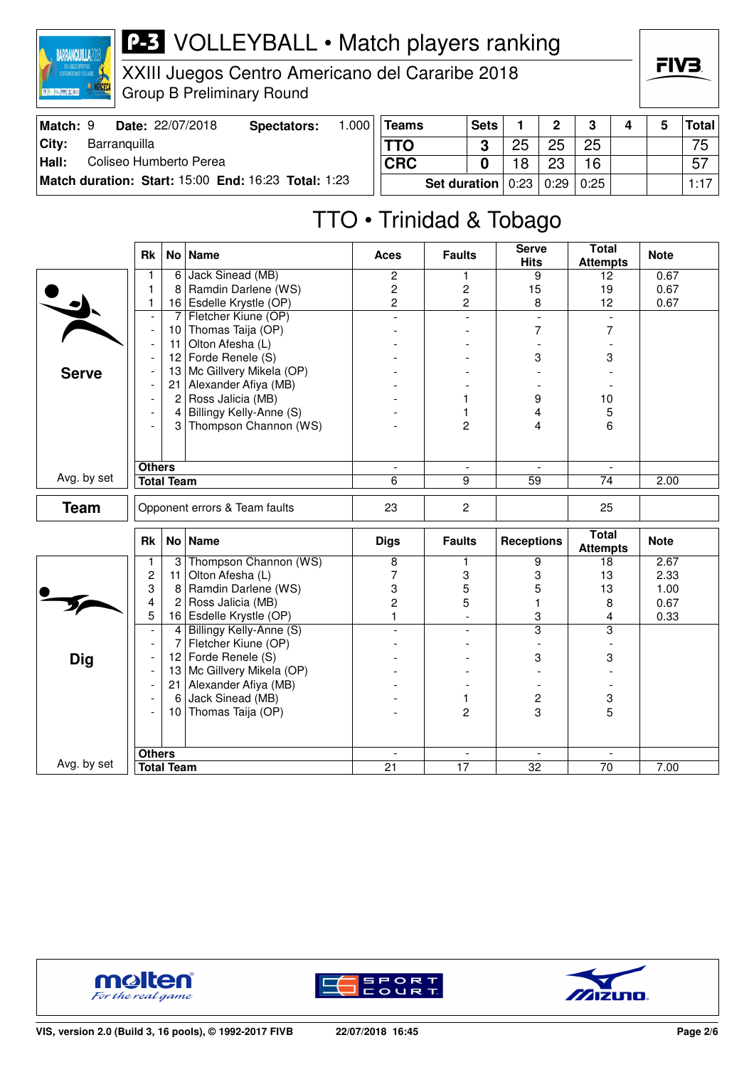

XXIII Juegos Centro Americano del Cararibe 2018 Group B Preliminary Round

| Match: 9 | Date: 22/07/2018                                    | Spectators: | .000 <sup>1</sup> | <b>Teams</b> | <b>Sets</b>                       |    | $\mathbf{p}$ | ີ  |  | Total |
|----------|-----------------------------------------------------|-------------|-------------------|--------------|-----------------------------------|----|--------------|----|--|-------|
| City:    | Barranguilla                                        |             |                   | <b>TTO</b>   | າ                                 | つに | 25           | 25 |  | 75    |
| Hall:    | Coliseo Humberto Perea                              |             |                   | <b>CRC</b>   |                                   |    | ດລ           | 16 |  | -57   |
|          | Match duration: Start: 15:00 End: 16:23 Total: 1:23 |             |                   |              | Set duration   0:23   0:29   0:25 |    |              |    |  | 1:17  |

## TTO • Trinidad & Tobago

|              | <b>Rk</b>                |                   | No   Name                     | <b>Aces</b>              | <b>Faults</b>            | <b>Serve</b><br><b>Hits</b> | Total<br><b>Attempts</b>        | <b>Note</b> |
|--------------|--------------------------|-------------------|-------------------------------|--------------------------|--------------------------|-----------------------------|---------------------------------|-------------|
|              | 1                        | 6                 | Jack Sinead (MB)              | $\overline{2}$           | 1                        | 9                           | 12                              | 0.67        |
|              | 1                        | 8                 | Ramdin Darlene (WS)           | $\overline{c}$           | $\overline{\mathbf{c}}$  | 15                          | 19                              | 0.67        |
|              | 1                        |                   | 16 Esdelle Krystle (OP)       | $\overline{c}$           | $\overline{2}$           | 8                           | 12                              | 0.67        |
|              | $\overline{\phantom{a}}$ | $\overline{7}$    | Fletcher Kiune (OP)           | $\overline{a}$           | $\bar{\phantom{a}}$      | $\frac{1}{2}$               | $\overline{\phantom{a}}$        |             |
|              | $\blacksquare$           | 10                | Thomas Taija (OP)             |                          |                          | 7                           | $\overline{7}$                  |             |
|              | $\blacksquare$           | 11                | Olton Afesha (L)              |                          |                          |                             |                                 |             |
|              | $\overline{\phantom{a}}$ | 12 <sub>2</sub>   | Forde Renele (S)              |                          |                          | 3                           | 3                               |             |
| <b>Serve</b> | $\overline{a}$           | 13                | Mc Gillvery Mikela (OP)       |                          |                          |                             |                                 |             |
|              | $\blacksquare$           | 21                | Alexander Afiya (MB)          |                          |                          |                             |                                 |             |
|              | $\overline{\phantom{a}}$ | $\overline{2}$    | Ross Jalicia (MB)             |                          | 1                        | 9                           | 10                              |             |
|              |                          |                   | 4 Billingy Kelly-Anne (S)     |                          | 1                        | 4                           | 5                               |             |
|              | $\overline{\phantom{a}}$ |                   | 3 Thompson Channon (WS)       |                          | $\overline{2}$           | 4                           | 6                               |             |
|              |                          |                   |                               |                          |                          |                             |                                 |             |
|              | <b>Others</b>            |                   |                               | $\blacksquare$           | $\blacksquare$           |                             |                                 |             |
| Avg. by set  |                          | <b>Total Team</b> |                               | 6                        | $\overline{9}$           | 59                          | $\overline{74}$                 | 2.00        |
| <b>Team</b>  |                          |                   | Opponent errors & Team faults | 23                       | $\overline{2}$           |                             | 25                              |             |
|              | <b>Rk</b>                |                   | No Name                       | <b>Digs</b>              | <b>Faults</b>            | <b>Receptions</b>           | <b>Total</b><br><b>Attempts</b> | <b>Note</b> |
|              | 1                        | $\vert$ 3         | Thompson Channon (WS)         | $\overline{8}$           | 1                        | 9                           | 18                              | 2.67        |
|              | $\overline{c}$           | 11                | Olton Afesha (L)              | 7                        | 3                        | 3                           | 13                              | 2.33        |
|              | 3                        | 8                 | Ramdin Darlene (WS)           | 3                        | 5                        | 5                           | 13                              | 1.00        |
|              | 4                        | $\mathbf{2}$      | Ross Jalicia (MB)             | $\overline{c}$           | 5                        |                             | 8                               | 0.67        |
|              | 5                        |                   | 16 Esdelle Krystle (OP)       | $\mathbf{1}$             | $\overline{\phantom{a}}$ | 3                           | $\overline{4}$                  | 0.33        |
|              | $\overline{\phantom{a}}$ | 4                 | Billingy Kelly-Anne (S)       | $\blacksquare$           | $\overline{\phantom{a}}$ | $\overline{\mathbf{3}}$     | $\overline{3}$                  |             |
|              | $\overline{\phantom{a}}$ | $\overline{7}$    | Fletcher Kiune (OP)           |                          |                          |                             |                                 |             |
| <b>Dig</b>   | $\overline{\phantom{a}}$ | 12                | Forde Renele (S)              |                          |                          | 3                           | 3                               |             |
|              | $\overline{\phantom{a}}$ | 13                | Mc Gillvery Mikela (OP)       |                          |                          |                             |                                 |             |
|              |                          |                   | 21 Alexander Afiya (MB)       |                          |                          |                             |                                 |             |
|              | $\overline{\phantom{a}}$ | 6                 | Jack Sinead (MB)              |                          | 1                        | 2                           | 3                               |             |
|              |                          |                   | 10 Thomas Taija (OP)          |                          | $\overline{2}$           | 3                           | 5                               |             |
|              |                          |                   |                               |                          |                          |                             |                                 |             |
|              | <b>Others</b>            |                   |                               | $\overline{\phantom{a}}$ | $\blacksquare$           | $\overline{\phantom{a}}$    | $\blacksquare$                  |             |
| Avg. by set  |                          | <b>Total Team</b> |                               | $\overline{21}$          | 17                       | $\overline{32}$             | 70                              | 7.00        |





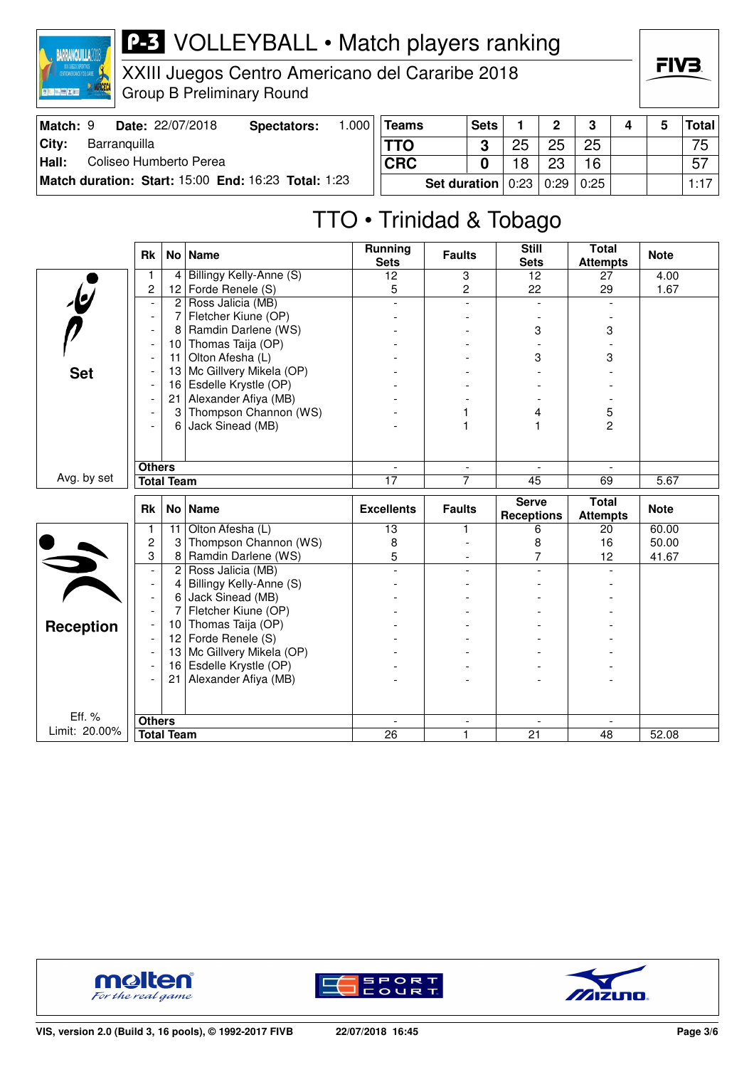

XXIII Juegos Centro Americano del Cararibe 2018 Group B Preliminary Round

| Match: 9 |              | <b>Date: 22/07/2018</b> | Spectators:                                         | .000 | <b>Teams</b> |              | <b>Sets</b> |    | $\Omega$           | $\bullet$ |  | Total <sup> </sup> |
|----------|--------------|-------------------------|-----------------------------------------------------|------|--------------|--------------|-------------|----|--------------------|-----------|--|--------------------|
| City:    | Barranguilla |                         |                                                     |      |              |              |             | 25 | 25                 | 25        |  | 75                 |
| Hall:    |              | Coliseo Humberto Perea  |                                                     |      | <b>CRC</b>   |              |             | 18 | റാ                 | 16        |  | 57                 |
|          |              |                         | Match duration: Start: 15:00 End: 16:23 Total: 1:23 |      |              | Set duration |             |    | 0:23   0:29   0:25 |           |  | 1:17               |

## TTO • Trinidad & Tobago

|                  | <b>Rk</b>                |                   | No   Name               | <b>Running</b><br><b>Sets</b> | <b>Faults</b>                 | <b>Still</b><br><b>Sets</b>       | <b>Total</b><br><b>Attempts</b> | <b>Note</b> |
|------------------|--------------------------|-------------------|-------------------------|-------------------------------|-------------------------------|-----------------------------------|---------------------------------|-------------|
|                  | 1                        | 4                 | Billingy Kelly-Anne (S) | 12                            | 3                             | 12                                | 27                              | 4.00        |
|                  | $\overline{c}$           | 12                | Forde Renele (S)        | 5                             | $\overline{c}$                | 22                                | 29                              | 1.67        |
| $\epsilon$       |                          | $\overline{2}$    | Ross Jalicia (MB)       |                               |                               |                                   |                                 |             |
|                  | $\overline{\phantom{a}}$ | 7                 | Fletcher Kiune (OP)     |                               |                               |                                   |                                 |             |
|                  | $\overline{\phantom{a}}$ | 8                 | Ramdin Darlene (WS)     |                               |                               | 3                                 | 3                               |             |
|                  | $\overline{\phantom{a}}$ | 10 <sup>1</sup>   | Thomas Taija (OP)       |                               |                               |                                   |                                 |             |
|                  | $\overline{\phantom{a}}$ | 11                | Olton Afesha (L)        |                               |                               | 3                                 | 3                               |             |
| <b>Set</b>       |                          | 13                | Mc Gillvery Mikela (OP) |                               |                               |                                   |                                 |             |
|                  |                          | 16                | Esdelle Krystle (OP)    |                               |                               |                                   |                                 |             |
|                  |                          | 21                | Alexander Afiya (MB)    |                               |                               |                                   |                                 |             |
|                  |                          | 3                 | Thompson Channon (WS)   |                               |                               | 4                                 | 5                               |             |
|                  |                          | 6                 | Jack Sinead (MB)        |                               | 1                             |                                   | $\overline{2}$                  |             |
|                  |                          |                   |                         |                               |                               |                                   |                                 |             |
|                  |                          |                   |                         |                               |                               |                                   |                                 |             |
|                  | <b>Others</b>            |                   |                         |                               | $\blacksquare$                |                                   |                                 |             |
| Avg. by set      |                          | <b>Total Team</b> |                         | 17                            | 7                             | 45                                | 69                              | 5.67        |
|                  |                          |                   |                         |                               |                               |                                   |                                 |             |
|                  | <b>Rk</b>                |                   | No   Name               | <b>Excellents</b>             | <b>Faults</b>                 | <b>Serve</b><br><b>Receptions</b> | <b>Total</b><br><b>Attempts</b> | <b>Note</b> |
|                  | 1                        | 11                | Olton Afesha (L)        | 13                            | 1                             | 6                                 | 20                              | 60.00       |
|                  | 2                        | 3                 | Thompson Channon (WS)   | 8                             |                               | 8                                 | 16                              | 50.00       |
|                  | 3                        | 8                 | Ramdin Darlene (WS)     | 5                             |                               | 7                                 | 12                              | 41.67       |
|                  | $\blacksquare$           | $\overline{2}$    | Ross Jalicia (MB)       |                               |                               |                                   |                                 |             |
|                  | $\overline{\phantom{a}}$ | 4                 | Billingy Kelly-Anne (S) |                               |                               |                                   |                                 |             |
| $\frac{1}{2}$    | $\blacksquare$           | 6                 | Jack Sinead (MB)        |                               |                               |                                   |                                 |             |
|                  | $\overline{\phantom{a}}$ | 7                 | Fletcher Kiune (OP)     |                               |                               |                                   |                                 |             |
|                  | $\overline{\phantom{a}}$ | 10                | Thomas Taija (OP)       |                               |                               |                                   |                                 |             |
| <b>Reception</b> | $\overline{\phantom{a}}$ | 12 <sub>2</sub>   | Forde Renele (S)        |                               |                               |                                   |                                 |             |
|                  | $\overline{\phantom{a}}$ | 13                | Mc Gillvery Mikela (OP) |                               |                               |                                   |                                 |             |
|                  |                          | 16                | Esdelle Krystle (OP)    |                               |                               |                                   |                                 |             |
|                  |                          | 21                | Alexander Afiya (MB)    |                               |                               |                                   |                                 |             |
|                  |                          |                   |                         |                               |                               |                                   |                                 |             |
| Eff. %           |                          |                   |                         |                               |                               |                                   |                                 |             |
| Limit: 20.00%    | <b>Others</b>            | <b>Total Team</b> |                         | $\sim$<br>26                  | $\overline{\phantom{a}}$<br>1 | 21                                | 48                              | 52.08       |





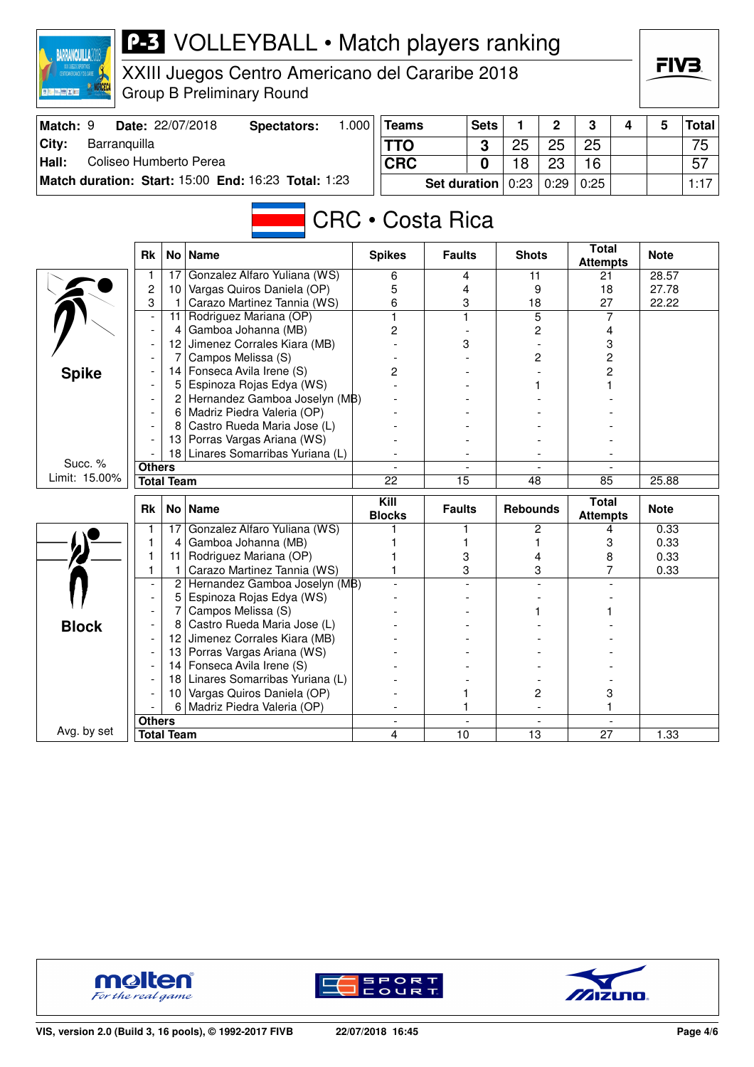| <b>BARRANQUILLA2</b>            |                               |                      | <b>P-3</b> VOLLEYBALL • Match players ranking                   |       |                       |                         |             |                 |                |                                 |   |                |              |
|---------------------------------|-------------------------------|----------------------|-----------------------------------------------------------------|-------|-----------------------|-------------------------|-------------|-----------------|----------------|---------------------------------|---|----------------|--------------|
|                                 |                               |                      | XXIII Juegos Centro Americano del Cararibe 2018                 |       |                       |                         |             |                 |                |                                 |   | FIV3.          |              |
| ■ 第十二 藤 × 第二                    |                               |                      |                                                                 |       |                       |                         |             |                 |                |                                 |   |                |              |
|                                 |                               |                      | <b>Group B Preliminary Round</b>                                |       |                       |                         |             |                 |                |                                 |   |                |              |
| Match: 9                        |                               |                      | Date: 22/07/2018<br><b>Spectators:</b>                          | 1.000 | <b>Teams</b>          |                         | <b>Sets</b> | 1               | $\mathbf 2$    | 3                               | 4 | 5              | <b>Total</b> |
| City:<br>Barranquilla           |                               |                      |                                                                 |       | <b>TTO</b>            |                         | 3           | 25              | 25             | 25                              |   |                | 75           |
| Hall:<br>Coliseo Humberto Perea |                               |                      |                                                                 |       | <b>CRC</b>            |                         | 0           | 18              | 23             | 16                              |   |                | 57           |
|                                 |                               |                      | Match duration: Start: 15:00 End: 16:23 Total: 1:23             |       |                       | <b>Set duration</b>     |             | 0:23            | 0:29           | 0:25                            |   |                | 1:17         |
|                                 |                               |                      |                                                                 |       |                       |                         |             |                 |                |                                 |   |                |              |
|                                 |                               |                      |                                                                 |       |                       | <b>CRC</b> • Costa Rica |             |                 |                |                                 |   |                |              |
|                                 |                               |                      |                                                                 |       |                       |                         |             |                 |                |                                 |   |                |              |
|                                 | <b>Rk</b>                     | No <sub>1</sub>      | <b>Name</b>                                                     |       | <b>Spikes</b>         | <b>Faults</b>           |             | <b>Shots</b>    |                | <b>Total</b><br><b>Attempts</b> |   | <b>Note</b>    |              |
|                                 | 1                             | 17                   | Gonzalez Alfaro Yuliana (WS)                                    |       | 6                     | 4                       |             | 11              |                | 21                              |   | 28.57          |              |
|                                 | 2<br>3                        | 10 <sup>1</sup><br>1 | Vargas Quiros Daniela (OP)<br>Carazo Martinez Tannia (WS)       |       | 5<br>6                | 4<br>3                  |             | 9               |                | 18<br>27                        |   | 27.78<br>22.22 |              |
|                                 | $\overline{a}$                | 11                   | Rodriguez Mariana (OP)                                          |       | 1                     | $\mathbf{1}$            |             | 18              | $\overline{5}$ | 7                               |   |                |              |
|                                 |                               | 4                    | Gamboa Johanna (MB)                                             |       | 2                     |                         |             |                 | 2              | 4                               |   |                |              |
|                                 |                               | 12                   | Jimenez Corrales Kiara (MB)                                     |       |                       | 3                       |             |                 |                | 3                               |   |                |              |
|                                 |                               |                      | Campos Melissa (S)                                              |       |                       |                         |             |                 | 2              | 2                               |   |                |              |
| <b>Spike</b>                    |                               | 14                   | Fonseca Avila Irene (S)                                         |       | 2                     |                         |             |                 |                | 2                               |   |                |              |
|                                 |                               | 5                    | Espinoza Rojas Edya (WS)                                        |       |                       |                         |             |                 |                |                                 |   |                |              |
|                                 |                               | $\mathbf{2}$         | Hernandez Gamboa Joselyn (MB)<br>6   Madriz Piedra Valeria (OP) |       |                       |                         |             |                 |                |                                 |   |                |              |
|                                 |                               |                      | Castro Rueda Maria Jose (L)                                     |       |                       |                         |             |                 |                |                                 |   |                |              |
|                                 |                               | 13.                  | Porras Vargas Ariana (WS)                                       |       |                       |                         |             |                 |                |                                 |   |                |              |
|                                 |                               | 18                   | Linares Somarribas Yuriana (L)                                  |       |                       |                         |             |                 |                |                                 |   |                |              |
| Succ. %                         | <b>Others</b>                 |                      |                                                                 |       |                       |                         |             |                 |                |                                 |   |                |              |
| Limit: 15.00%                   |                               | <b>Total Team</b>    |                                                                 |       | 22                    | $\overline{15}$         |             | 48              |                | 85                              |   | 25.88          |              |
|                                 | <b>Rk</b>                     | No <sub>1</sub>      | <b>Name</b>                                                     |       | Kill<br><b>Blocks</b> | <b>Faults</b>           |             | <b>Rebounds</b> |                | <b>Total</b><br><b>Attempts</b> |   | <b>Note</b>    |              |
|                                 | 1                             |                      | 17 Gonzalez Alfaro Yuliana (WS)                                 |       |                       | 1                       |             |                 | 2              | 4                               |   | 0.33           |              |
|                                 | 1                             | 4                    | Gamboa Johanna (MB)                                             |       |                       | 1                       |             |                 | 1              | 3                               |   | 0.33           |              |
|                                 | 1                             | 11 I                 | Rodriguez Mariana (OP)                                          |       |                       | 3                       |             |                 | 4              | 8                               |   | 0.33           |              |
|                                 | 1<br>$\overline{\phantom{a}}$ | $\overline{c}$       | Carazo Martinez Tannia (WS)<br>Hernandez Gamboa Joselyn (MB)    |       | 1                     | 3                       |             |                 | 3              | 7                               |   | 0.33           |              |
|                                 |                               | 5                    | Espinoza Rojas Edya (WS)                                        |       |                       |                         |             |                 |                |                                 |   |                |              |
|                                 |                               | 7                    | Campos Melissa (S)                                              |       |                       |                         |             |                 |                | 1                               |   |                |              |
| <b>Block</b>                    |                               | 8                    | Castro Rueda Maria Jose (L)                                     |       |                       |                         |             |                 |                |                                 |   |                |              |
|                                 |                               | 12                   | Jimenez Corrales Kiara (MB)                                     |       |                       |                         |             |                 |                |                                 |   |                |              |
|                                 |                               |                      | 13 Porras Vargas Ariana (WS)                                    |       |                       |                         |             |                 |                |                                 |   |                |              |
|                                 |                               |                      | 14 Fonseca Avila Irene (S)                                      |       |                       |                         |             |                 |                |                                 |   |                |              |
|                                 |                               |                      | 18 Linares Somarribas Yuriana (L)                               |       |                       |                         |             |                 |                |                                 |   |                |              |
|                                 |                               | 6                    | 10 Vargas Quiros Daniela (OP)<br>Madriz Piedra Valeria (OP)     |       |                       |                         |             |                 | 2              | 3<br>1                          |   |                |              |
|                                 | <b>Others</b>                 |                      |                                                                 |       |                       |                         |             |                 |                |                                 |   |                |              |
| Avg. by set                     |                               | <b>Total Team</b>    |                                                                 |       | 4                     | 10                      |             | 13              |                | 27                              |   | 1.33           |              |





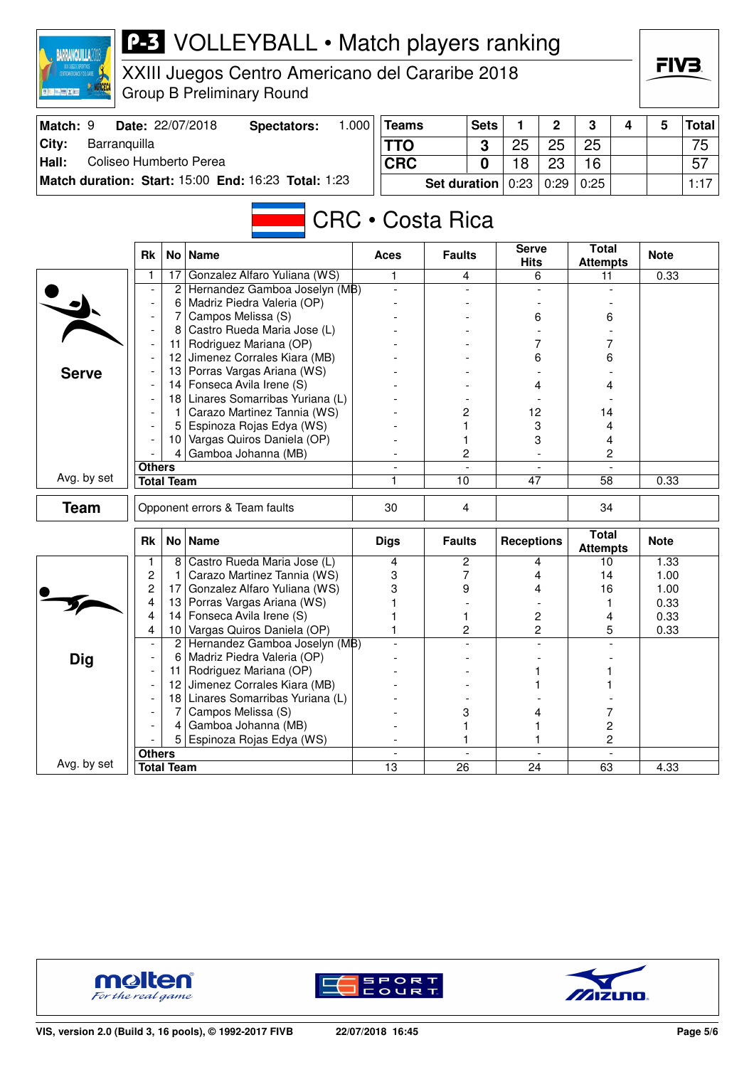| <b>BARRANQUILLA2</b>            |                          |                   | <b>P-3</b> VOLLEYBALL • Match players ranking                   |       |                          |                     |                |                      |                          |                                 |   |              |              |
|---------------------------------|--------------------------|-------------------|-----------------------------------------------------------------|-------|--------------------------|---------------------|----------------|----------------------|--------------------------|---------------------------------|---|--------------|--------------|
|                                 |                          |                   | XXIII Juegos Centro Americano del Cararibe 2018                 |       |                          |                     |                |                      |                          |                                 |   | FIV3.        |              |
| ■ 第十二 藤 × 第二                    |                          |                   | <b>Group B Preliminary Round</b>                                |       |                          |                     |                |                      |                          |                                 |   |              |              |
| Match: 9                        |                          |                   | Date: 22/07/2018<br><b>Spectators:</b>                          | 1.000 | <b>Teams</b>             |                     | <b>Sets</b>    | 1                    | $\overline{2}$           | 3                               | 4 | 5            | <b>Total</b> |
| City:<br>Barranquilla           |                          |                   |                                                                 |       | <b>TTO</b>               |                     | 3              | 25                   | 25                       | 25                              |   |              | 75           |
| Coliseo Humberto Perea<br>Hall: |                          |                   |                                                                 |       | <b>CRC</b>               |                     | 0              | 18                   | 23                       | 16                              |   |              | 57           |
|                                 |                          |                   | Match duration: Start: 15:00 End: 16:23 Total: 1:23             |       |                          | <b>Set duration</b> |                | 0:23                 | 0:29                     | 0:25                            |   |              | 1:17         |
|                                 |                          |                   |                                                                 |       |                          |                     |                |                      |                          |                                 |   |              |              |
|                                 |                          |                   |                                                                 |       | <b>CRC • Costa Rica</b>  |                     |                |                      |                          |                                 |   |              |              |
|                                 | <b>Rk</b>                |                   | No   Name                                                       |       | Aces                     | <b>Faults</b>       |                | <b>Serve</b><br>Hits |                          | <b>Total</b><br><b>Attempts</b> |   | <b>Note</b>  |              |
|                                 | 1                        | 17                | Gonzalez Alfaro Yuliana (WS)                                    |       | 1                        |                     | 4              |                      | 6                        | 11                              |   | 0.33         |              |
|                                 |                          | 2                 | Hernandez Gamboa Joselyn (MB)<br>Madriz Piedra Valeria (OP)     |       |                          |                     |                |                      |                          |                                 |   |              |              |
|                                 |                          | 6<br>7            | Campos Melissa (S)                                              |       |                          |                     |                | 6                    |                          | 6                               |   |              |              |
|                                 |                          | 8                 | Castro Rueda Maria Jose (L)                                     |       |                          |                     |                |                      |                          |                                 |   |              |              |
|                                 |                          |                   | 11   Rodriguez Mariana (OP)                                     |       |                          |                     |                |                      | 7                        | 7                               |   |              |              |
|                                 |                          |                   | 12 Jimenez Corrales Kiara (MB)                                  |       |                          |                     |                | 6                    |                          | 6                               |   |              |              |
| <b>Serve</b>                    |                          |                   | 13 Porras Vargas Ariana (WS)                                    |       |                          |                     |                |                      |                          |                                 |   |              |              |
|                                 |                          |                   | 14 Fonseca Avila Irene (S)                                      |       |                          |                     |                |                      | 4                        | 4                               |   |              |              |
|                                 |                          |                   | 18 Linares Somarribas Yuriana (L)                               |       |                          |                     |                |                      |                          |                                 |   |              |              |
|                                 |                          |                   | 1   Carazo Martinez Tannia (WS)<br>Espinoza Rojas Edya (WS)     |       |                          | 2                   |                | 12<br>3              |                          | 14<br>4                         |   |              |              |
|                                 |                          | 10                | Vargas Quiros Daniela (OP)                                      |       |                          | 1                   |                | 3                    |                          | 4                               |   |              |              |
|                                 |                          | 4                 | Gamboa Johanna (MB)                                             |       |                          | 2                   |                |                      |                          | 2                               |   |              |              |
|                                 | <b>Others</b>            |                   |                                                                 |       |                          |                     |                |                      |                          |                                 |   |              |              |
| Avg. by set                     |                          | <b>Total Team</b> |                                                                 |       |                          | 10                  |                | 47                   |                          | 58                              |   | 0.33         |              |
| <b>Team</b>                     |                          |                   | Opponent errors & Team faults                                   |       | 30                       | 4                   |                |                      |                          | 34                              |   |              |              |
|                                 | <b>Rk</b>                |                   | No   Name                                                       |       | <b>Digs</b>              | <b>Faults</b>       |                | <b>Receptions</b>    |                          | <b>Total</b><br><b>Attempts</b> |   | <b>Note</b>  |              |
|                                 | 1                        | 8                 | Castro Rueda Maria Jose (L)                                     |       | 4                        | 2                   |                |                      | 4                        | 10                              |   | 1.33         |              |
|                                 | $\overline{c}$           | 1                 | Carazo Martinez Tannia (WS)                                     |       | 3                        |                     | 7              |                      | 4                        | 14                              |   | 1.00         |              |
|                                 | $\overline{c}$<br>4      |                   | 17 Gonzalez Alfaro Yuliana (WS)<br>13 Porras Vargas Ariana (WS) |       | 3                        | 9                   |                | 4                    |                          | 16<br>1                         |   | 1.00<br>0.33 |              |
|                                 | 4                        |                   | 14 Fonseca Avila Irene (S)                                      |       |                          | 1                   |                |                      | 2                        | 4                               |   | 0.33         |              |
|                                 | 4                        | 10                | Vargas Quiros Daniela (OP)                                      |       |                          |                     | 2              |                      | $\overline{c}$           | 5                               |   | 0.33         |              |
|                                 | $\overline{\phantom{a}}$ |                   | 2 Hernandez Gamboa Joselyn (MB)                                 |       |                          |                     |                |                      |                          |                                 |   |              |              |
| <b>Dig</b>                      |                          | 6                 | Madriz Piedra Valeria (OP)                                      |       |                          |                     |                |                      |                          |                                 |   |              |              |
|                                 |                          | <u> 11 l</u>      | Rodriguez Mariana (OP)                                          |       |                          |                     |                |                      |                          |                                 |   |              |              |
|                                 |                          | 121               | Jimenez Corrales Kiara (MB)                                     |       |                          |                     |                |                      |                          |                                 |   |              |              |
|                                 |                          |                   | 18 Linares Somarribas Yuriana (L)<br>Campos Melissa (S)         |       |                          |                     |                |                      |                          |                                 |   |              |              |
|                                 |                          | 4                 | Gamboa Johanna (MB)                                             |       |                          | 3<br>1              |                |                      | 4                        | 7<br>$\overline{c}$             |   |              |              |
|                                 |                          |                   | Espinoza Rojas Edya (WS)                                        |       |                          |                     |                |                      |                          | $\overline{c}$                  |   |              |              |
|                                 | <b>Others</b>            |                   |                                                                 |       | $\overline{\phantom{a}}$ |                     | $\blacksquare$ |                      | $\overline{\phantom{a}}$ |                                 |   |              |              |
| Avg. by set                     |                          | <b>Total Team</b> |                                                                 |       | $\overline{13}$          | $\overline{26}$     |                | $\overline{24}$      |                          | 63                              |   | 4.33         |              |